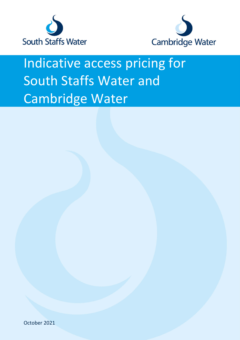



## Indicative access pricing for South Staffs Water and Cambridge Water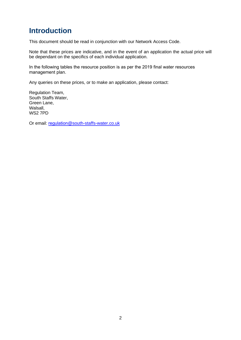## **Introduction**

This document should be read in conjunction with our Network Access Code.

Note that these prices are indicative, and in the event of an application the actual price will be dependant on the specifics of each individual application.

In the following tables the resource position is as per the 2019 final water resources management plan.

Any queries on these prices, or to make an application, please contact:

Regulation Team, South Staffs Water, Green L[ane,](mailto:wholesaleservices@south-staffs-water.co.uk)  Walsall, WS2 7PD

Or email: regulation@south-staffs-water.co.uk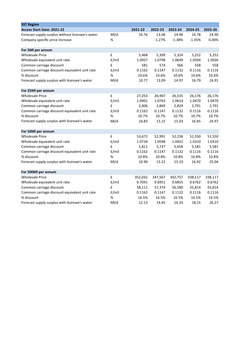| <b>SST Region</b>                                |      |         |          |          |          |         |
|--------------------------------------------------|------|---------|----------|----------|----------|---------|
| Access Start Date: 2021-22                       |      | 2021-22 | 2022-23  | 2023-24  | 2024-25  | 2025-26 |
| Forecast supply surplus without licensee's water | M/d  | 10.76   | 13.08    | 14.96    | 16.78    | 24.90   |
| Company specific price increase                  | $\%$ |         | $-1.27%$ | $-1.38%$ | $-1.35%$ | 0.00%   |
| For 5MI per annum                                |      |         |          |          |          |         |
| <b>Wholesale Price</b>                           | £    | 5,468   | 5,399    | 5,324    | 5,252    | 5,252   |
| Wholesale equivalent unit rate                   | E/m3 | 1.0937  | 1.0798   | 1.0649   | 1.0504   | 1.0504  |
| Common carriage discount                         | £    | 581     | 574      | 566      | 558      | 558     |
| Common carriage discount equivalent unit rate    | E/m3 | 0.1162  | 0.1147   | 0.1132   | 0.1116   | 0.1116  |
| % discount                                       | $\%$ | 10.6%   | 10.6%    | 10.6%    | 10.6%    | 10.6%   |
| Forecast supply surplus with licensee's water    | M/d  | 10.77   | 13.09    | 14.97    | 16.79    | 24.91   |
| For 25Ml per annum                               |      |         |          |          |          |         |
| <b>Wholesale Price</b>                           | £    | 27,253  | 26,907   | 26,535   | 26,176   | 26,176  |
| Wholesale equivalent unit rate                   | E/m3 | 1.0901  | 1.0763   | 1.0614   | 1.0470   | 1.0470  |
| Common carriage discount                         | £    | 2,906   | 2,869    | 2,829    | 2,791    | 2,791   |
| Common carriage discount equivalent unit rate    | E/m3 | 0.1162  | 0.1147   | 0.1132   | 0.1116   | 0.1116  |
| % discount                                       | $\%$ | 10.7%   | 10.7%    | 10.7%    | 10.7%    | 10.7%   |
| Forecast supply surplus with licensee's water    | M/d  | 10.83   | 13.15    | 15.03    | 16.85    | 24.97   |
| For 50Ml per annum                               |      |         |          |          |          |         |
| <b>Wholesale Price</b>                           | £    | 53,672  | 52,991   | 52,258   | 51,550   | 51,550  |
| Wholesale equivalent unit rate                   | E/m3 | 1.0734  | 1.0598   | 1.0452   | 1.0310   | 1.0310  |
| Common carriage discount                         | £    | 5,811   | 5,737    | 5,658    | 5,581    | 5,581   |
| Common carriage discount equivalent unit rate    | E/m3 | 0.1162  | 0.1147   | 0.1132   | 0.1116   | 0.1116  |
| % discount                                       | $\%$ | 10.8%   | 10.8%    | 10.8%    | 10.8%    | 10.8%   |
| Forecast supply surplus with licensee's water    | M/d  | 10.90   | 13.22    | 15.10    | 16.92    | 25.04   |
| For 500Ml per annum                              |      |         |          |          |          |         |
| <b>Wholesale Price</b>                           | £    | 352,032 | 347,567  | 342,757  | 338,117  | 338,117 |
| Wholesale equivalent unit rate                   | E/m3 | 0.7041  | 0.6951   | 0.6855   | 0.6762   | 0.6762  |
| Common carriage discount                         | £    | 58,111  | 57,374   | 56,580   | 55,814   | 55,814  |
| Common carriage discount equivalent unit rate    | E/m3 | 0.1162  | 0.1147   | 0.1132   | 0.1116   | 0.1116  |
| % discount                                       | %    | 16.5%   | 16.5%    | 16.5%    | 16.5%    | 16.5%   |
| Forecast supply surplus with licensee's water    | M/d  | 12.13   | 14.45    | 16.33    | 18.15    | 26.27   |